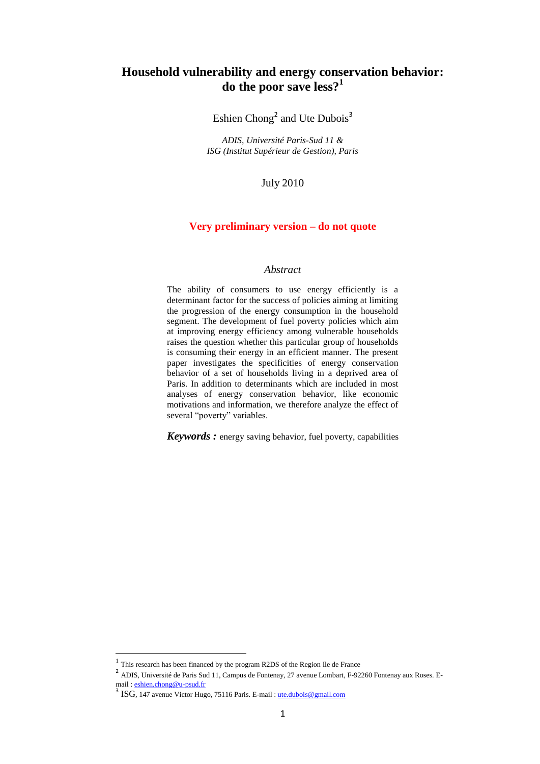# **Household vulnerability and energy conservation behavior: do the poor save less?<sup>1</sup>**

Eshien Chong<sup>2</sup> and Ute Dubois<sup>3</sup>

*ADIS, Université Paris-Sud 11 & ISG (Institut Supérieur de Gestion), Paris*

July 2010

### **Very preliminary version – do not quote**

# *Abstract*

The ability of consumers to use energy efficiently is a determinant factor for the success of policies aiming at limiting the progression of the energy consumption in the household segment. The development of fuel poverty policies which aim at improving energy efficiency among vulnerable households raises the question whether this particular group of households is consuming their energy in an efficient manner. The present paper investigates the specificities of energy conservation behavior of a set of households living in a deprived area of Paris. In addition to determinants which are included in most analyses of energy conservation behavior, like economic motivations and information, we therefore analyze the effect of several "poverty" variables.

*Keywords :* energy saving behavior, fuel poverty, capabilities

**.** 

<sup>1</sup> This research has been financed by the program R2DS of the Region Ile de France

<sup>&</sup>lt;sup>2</sup> ADIS, Université de Paris Sud 11, Campus de Fontenay, 27 avenue Lombart, F-92260 Fontenay aux Roses. Email [: eshien.chong@u-psud.fr](mailto:eshien.chong@u-psud.fr)

<sup>&</sup>lt;sup>3</sup> ISG, 147 avenue Victor Hugo, 75116 Paris. E-mail [: ute.dubois@gmail.com](mailto:ute.dubois@gmail.com)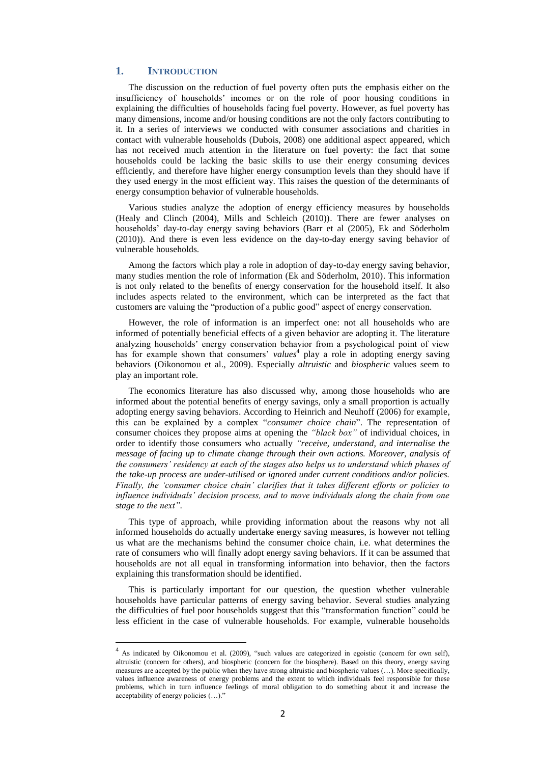### **1. INTRODUCTION**

**.** 

The discussion on the reduction of fuel poverty often puts the emphasis either on the insufficiency of households" incomes or on the role of poor housing conditions in explaining the difficulties of households facing fuel poverty. However, as fuel poverty has many dimensions, income and/or housing conditions are not the only factors contributing to it. In a series of interviews we conducted with consumer associations and charities in contact with vulnerable households (Dubois, 2008) one additional aspect appeared, which has not received much attention in the literature on fuel poverty: the fact that some households could be lacking the basic skills to use their energy consuming devices efficiently, and therefore have higher energy consumption levels than they should have if they used energy in the most efficient way. This raises the question of the determinants of energy consumption behavior of vulnerable households.

Various studies analyze the adoption of energy efficiency measures by households (Healy and Clinch (2004), Mills and Schleich (2010)). There are fewer analyses on households" day-to-day energy saving behaviors (Barr et al (2005), Ek and Söderholm (2010)). And there is even less evidence on the day-to-day energy saving behavior of vulnerable households.

Among the factors which play a role in adoption of day-to-day energy saving behavior, many studies mention the role of information (Ek and Söderholm, 2010). This information is not only related to the benefits of energy conservation for the household itself. It also includes aspects related to the environment, which can be interpreted as the fact that customers are valuing the "production of a public good" aspect of energy conservation.

However, the role of information is an imperfect one: not all households who are informed of potentially beneficial effects of a given behavior are adopting it. The literature analyzing households" energy conservation behavior from a psychological point of view has for example shown that consumers' *values*<sup>4</sup> play a role in adopting energy saving behaviors (Oikonomou et al., 2009). Especially *altruistic* and *biospheric* values seem to play an important role.

The economics literature has also discussed why, among those households who are informed about the potential benefits of energy savings, only a small proportion is actually adopting energy saving behaviors. According to Heinrich and Neuhoff (2006) for example, this can be explained by a complex "*consumer choice chain*". The representation of consumer choices they propose aims at opening the *"black box"* of individual choices, in order to identify those consumers who actually *"receive, understand, and internalise the message of facing up to climate change through their own actions. Moreover, analysis of the consumers" residency at each of the stages also helps us to understand which phases of the take-up process are under-utilised or ignored under current conditions and/or policies. Finally, the "consumer choice chain" clarifies that it takes different efforts or policies to influence individuals" decision process, and to move individuals along the chain from one stage to the next"*.

This type of approach, while providing information about the reasons why not all informed households do actually undertake energy saving measures, is however not telling us what are the mechanisms behind the consumer choice chain, i.e. what determines the rate of consumers who will finally adopt energy saving behaviors. If it can be assumed that households are not all equal in transforming information into behavior, then the factors explaining this transformation should be identified.

This is particularly important for our question, the question whether vulnerable households have particular patterns of energy saving behavior. Several studies analyzing the difficulties of fuel poor households suggest that this "transformation function" could be less efficient in the case of vulnerable households. For example, vulnerable households

<sup>&</sup>lt;sup>4</sup> As indicated by Oikonomou et al. (2009), "such values are categorized in egoistic (concern for own self), altruistic (concern for others), and biospheric (concern for the biosphere). Based on this theory, energy saving measures are accepted by the public when they have strong altruistic and biospheric values (…). More specifically, values influence awareness of energy problems and the extent to which individuals feel responsible for these problems, which in turn influence feelings of moral obligation to do something about it and increase the acceptability of energy policies  $(\ldots)$ .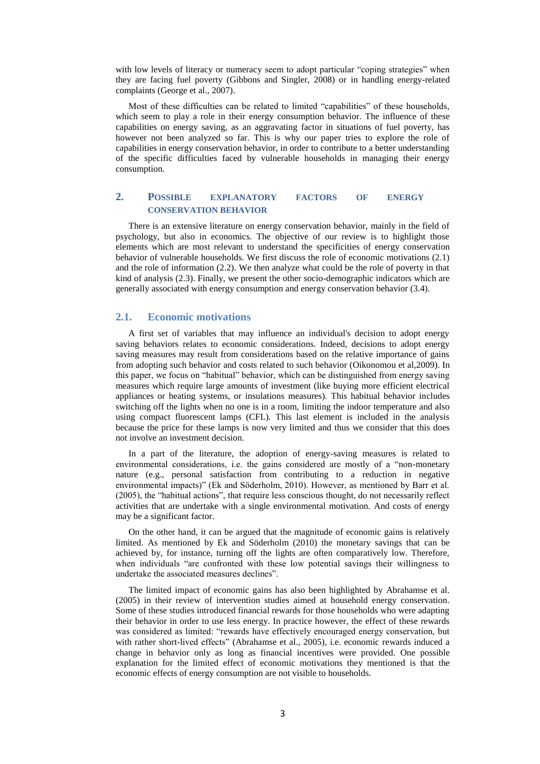with low levels of literacy or numeracy seem to adopt particular "coping strategies" when they are facing fuel poverty (Gibbons and Singler, 2008) or in handling energy-related complaints (George et al., 2007).

Most of these difficulties can be related to limited "capabilities" of these households, which seem to play a role in their energy consumption behavior. The influence of these capabilities on energy saving, as an aggravating factor in situations of fuel poverty, has however not been analyzed so far. This is why our paper tries to explore the role of capabilities in energy conservation behavior, in order to contribute to a better understanding of the specific difficulties faced by vulnerable households in managing their energy consumption.

# **2. POSSIBLE EXPLANATORY FACTORS OF ENERGY CONSERVATION BEHAVIOR**

There is an extensive literature on energy conservation behavior, mainly in the field of psychology, but also in economics. The objective of our review is to highlight those elements which are most relevant to understand the specificities of energy conservation behavior of vulnerable households. We first discuss the role of economic motivations (2.1) and the role of information (2.2). We then analyze what could be the role of poverty in that kind of analysis (2.3). Finally, we present the other socio-demographic indicators which are generally associated with energy consumption and energy conservation behavior (3.4).

#### **2.1. Economic motivations**

A first set of variables that may influence an individual's decision to adopt energy saving behaviors relates to economic considerations. Indeed, decisions to adopt energy saving measures may result from considerations based on the relative importance of gains from adopting such behavior and costs related to such behavior (Oikonomou et al,2009). In this paper, we focus on "habitual" behavior, which can be distinguished from energy saving measures which require large amounts of investment (like buying more efficient electrical appliances or heating systems, or insulations measures). This habitual behavior includes switching off the lights when no one is in a room, limiting the indoor temperature and also using compact fluorescent lamps (CFL). This last element is included in the analysis because the price for these lamps is now very limited and thus we consider that this does not involve an investment decision.

In a part of the literature, the adoption of energy-saving measures is related to environmental considerations, i.e. the gains considered are mostly of a "non-monetary nature (e.g., personal satisfaction from contributing to a reduction in negative environmental impacts)" (Ek and Söderholm, 2010). However, as mentioned by Barr et al. (2005), the "habitual actions", that require less conscious thought, do not necessarily reflect activities that are undertake with a single environmental motivation. And costs of energy may be a significant factor.

On the other hand, it can be argued that the magnitude of economic gains is relatively limited. As mentioned by Ek and Söderholm (2010) the monetary savings that can be achieved by, for instance, turning off the lights are often comparatively low. Therefore, when individuals "are confronted with these low potential savings their willingness to undertake the associated measures declines".

The limited impact of economic gains has also been highlighted by Abrahamse et al. (2005) in their review of intervention studies aimed at household energy conservation. Some of these studies introduced financial rewards for those households who were adapting their behavior in order to use less energy. In practice however, the effect of these rewards was considered as limited: "rewards have effectively encouraged energy conservation, but with rather short-lived effects" (Abrahamse et al., 2005), i.e. economic rewards induced a change in behavior only as long as financial incentives were provided. One possible explanation for the limited effect of economic motivations they mentioned is that the economic effects of energy consumption are not visible to households.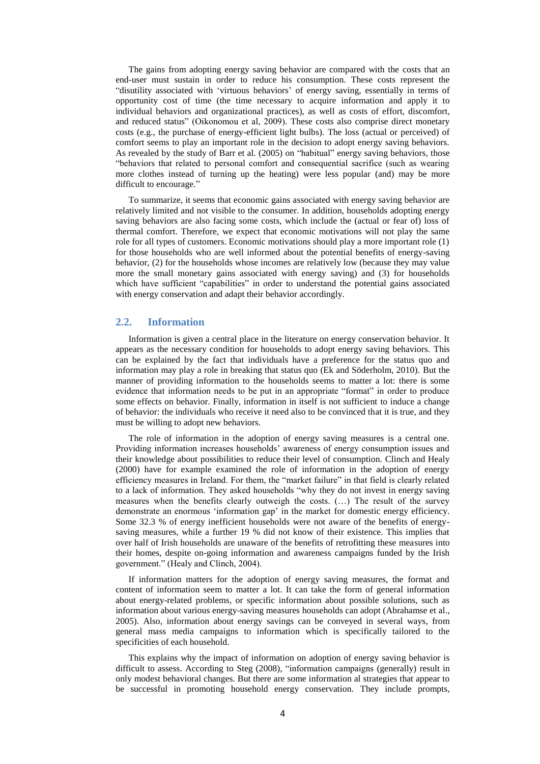The gains from adopting energy saving behavior are compared with the costs that an end-user must sustain in order to reduce his consumption. These costs represent the "disutility associated with "virtuous behaviors" of energy saving, essentially in terms of opportunity cost of time (the time necessary to acquire information and apply it to individual behaviors and organizational practices), as well as costs of effort, discomfort, and reduced status" (Oikonomou et al, 2009). These costs also comprise direct monetary costs (e.g., the purchase of energy-efficient light bulbs). The loss (actual or perceived) of comfort seems to play an important role in the decision to adopt energy saving behaviors. As revealed by the study of Barr et al. (2005) on "habitual" energy saving behaviors, those "behaviors that related to personal comfort and consequential sacrifice (such as wearing more clothes instead of turning up the heating) were less popular (and) may be more difficult to encourage."

To summarize, it seems that economic gains associated with energy saving behavior are relatively limited and not visible to the consumer. In addition, households adopting energy saving behaviors are also facing some costs, which include the (actual or fear of) loss of thermal comfort. Therefore, we expect that economic motivations will not play the same role for all types of customers. Economic motivations should play a more important role (1) for those households who are well informed about the potential benefits of energy-saving behavior, (2) for the households whose incomes are relatively low (because they may value more the small monetary gains associated with energy saving) and (3) for households which have sufficient "capabilities" in order to understand the potential gains associated with energy conservation and adapt their behavior accordingly.

## **2.2. Information**

Information is given a central place in the literature on energy conservation behavior. It appears as the necessary condition for households to adopt energy saving behaviors. This can be explained by the fact that individuals have a preference for the status quo and information may play a role in breaking that status quo (Ek and Söderholm, 2010). But the manner of providing information to the households seems to matter a lot: there is some evidence that information needs to be put in an appropriate "format" in order to produce some effects on behavior. Finally, information in itself is not sufficient to induce a change of behavior: the individuals who receive it need also to be convinced that it is true, and they must be willing to adopt new behaviors.

The role of information in the adoption of energy saving measures is a central one. Providing information increases households" awareness of energy consumption issues and their knowledge about possibilities to reduce their level of consumption. Clinch and Healy (2000) have for example examined the role of information in the adoption of energy efficiency measures in Ireland. For them, the "market failure" in that field is clearly related to a lack of information. They asked households "why they do not invest in energy saving measures when the benefits clearly outweigh the costs. (…) The result of the survey demonstrate an enormous "information gap" in the market for domestic energy efficiency. Some 32.3 % of energy inefficient households were not aware of the benefits of energysaving measures, while a further 19 % did not know of their existence. This implies that over half of Irish households are unaware of the benefits of retrofitting these measures into their homes, despite on-going information and awareness campaigns funded by the Irish government." (Healy and Clinch, 2004).

If information matters for the adoption of energy saving measures, the format and content of information seem to matter a lot. It can take the form of general information about energy-related problems, or specific information about possible solutions, such as information about various energy-saving measures households can adopt (Abrahamse et al., 2005). Also, information about energy savings can be conveyed in several ways, from general mass media campaigns to information which is specifically tailored to the specificities of each household.

This explains why the impact of information on adoption of energy saving behavior is difficult to assess. According to Steg (2008), "information campaigns (generally) result in only modest behavioral changes. But there are some information al strategies that appear to be successful in promoting household energy conservation. They include prompts,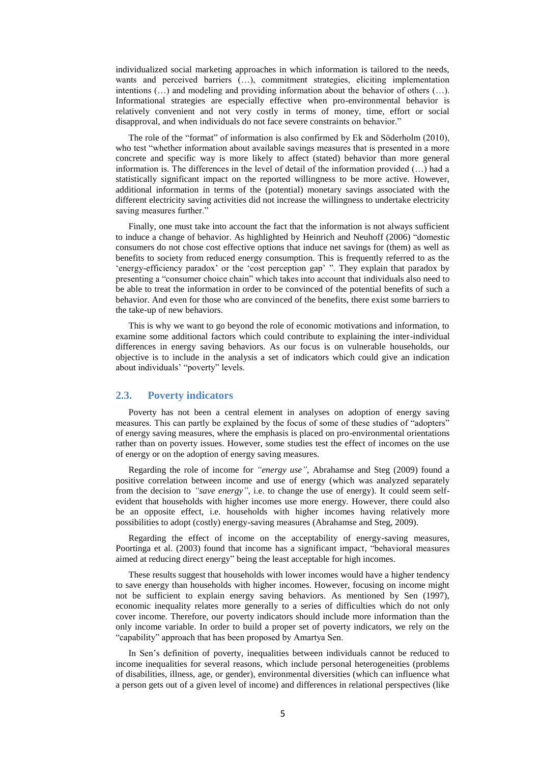individualized social marketing approaches in which information is tailored to the needs, wants and perceived barriers (...), commitment strategies, eliciting implementation intentions (…) and modeling and providing information about the behavior of others (…). Informational strategies are especially effective when pro-environmental behavior is relatively convenient and not very costly in terms of money, time, effort or social disapproval, and when individuals do not face severe constraints on behavior."

The role of the "format" of information is also confirmed by Ek and Söderholm (2010), who test "whether information about available savings measures that is presented in a more concrete and specific way is more likely to affect (stated) behavior than more general information is. The differences in the level of detail of the information provided (…) had a statistically significant impact on the reported willingness to be more active. However, additional information in terms of the (potential) monetary savings associated with the different electricity saving activities did not increase the willingness to undertake electricity saving measures further."

Finally, one must take into account the fact that the information is not always sufficient to induce a change of behavior. As highlighted by Heinrich and Neuhoff (2006) "domestic consumers do not chose cost effective options that induce net savings for (them) as well as benefits to society from reduced energy consumption. This is frequently referred to as the 'energy-efficiency paradox' or the 'cost perception gap' ". They explain that paradox by presenting a "consumer choice chain" which takes into account that individuals also need to be able to treat the information in order to be convinced of the potential benefits of such a behavior. And even for those who are convinced of the benefits, there exist some barriers to the take-up of new behaviors.

This is why we want to go beyond the role of economic motivations and information, to examine some additional factors which could contribute to explaining the inter-individual differences in energy saving behaviors. As our focus is on vulnerable households, our objective is to include in the analysis a set of indicators which could give an indication about individuals' "poverty" levels.

### **2.3. Poverty indicators**

Poverty has not been a central element in analyses on adoption of energy saving measures. This can partly be explained by the focus of some of these studies of "adopters" of energy saving measures, where the emphasis is placed on pro-environmental orientations rather than on poverty issues. However, some studies test the effect of incomes on the use of energy or on the adoption of energy saving measures.

Regarding the role of income for *"energy use"*, Abrahamse and Steg (2009) found a positive correlation between income and use of energy (which was analyzed separately from the decision to *"save energy"*, i.e. to change the use of energy). It could seem selfevident that households with higher incomes use more energy. However, there could also be an opposite effect, i.e. households with higher incomes having relatively more possibilities to adopt (costly) energy-saving measures (Abrahamse and Steg, 2009).

Regarding the effect of income on the acceptability of energy-saving measures, Poortinga et al. (2003) found that income has a significant impact, "behavioral measures aimed at reducing direct energy" being the least acceptable for high incomes.

These results suggest that households with lower incomes would have a higher tendency to save energy than households with higher incomes. However, focusing on income might not be sufficient to explain energy saving behaviors. As mentioned by Sen (1997), economic inequality relates more generally to a series of difficulties which do not only cover income. Therefore, our poverty indicators should include more information than the only income variable. In order to build a proper set of poverty indicators, we rely on the "capability" approach that has been proposed by Amartya Sen.

In Sen"s definition of poverty, inequalities between individuals cannot be reduced to income inequalities for several reasons, which include personal heterogeneities (problems of disabilities, illness, age, or gender), environmental diversities (which can influence what a person gets out of a given level of income) and differences in relational perspectives (like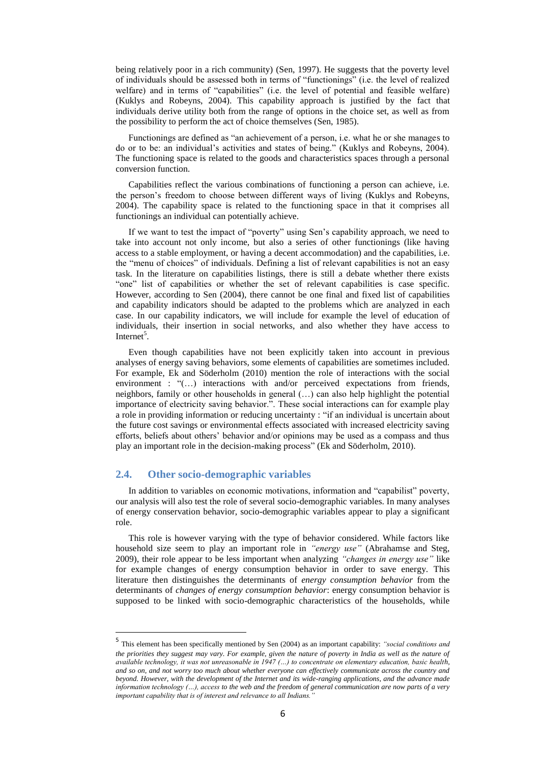being relatively poor in a rich community) (Sen, 1997). He suggests that the poverty level of individuals should be assessed both in terms of "functionings" (i.e. the level of realized welfare) and in terms of "capabilities" (i.e. the level of potential and feasible welfare) (Kuklys and Robeyns, 2004). This capability approach is justified by the fact that individuals derive utility both from the range of options in the choice set, as well as from the possibility to perform the act of choice themselves (Sen, 1985).

Functionings are defined as "an achievement of a person, i.e. what he or she manages to do or to be: an individual"s activities and states of being." (Kuklys and Robeyns, 2004). The functioning space is related to the goods and characteristics spaces through a personal conversion function.

Capabilities reflect the various combinations of functioning a person can achieve, i.e. the person"s freedom to choose between different ways of living (Kuklys and Robeyns, 2004). The capability space is related to the functioning space in that it comprises all functionings an individual can potentially achieve.

If we want to test the impact of "poverty" using Sen"s capability approach, we need to take into account not only income, but also a series of other functionings (like having access to a stable employment, or having a decent accommodation) and the capabilities, i.e. the "menu of choices" of individuals. Defining a list of relevant capabilities is not an easy task. In the literature on capabilities listings, there is still a debate whether there exists "one" list of capabilities or whether the set of relevant capabilities is case specific. However, according to Sen (2004), there cannot be one final and fixed list of capabilities and capability indicators should be adapted to the problems which are analyzed in each case. In our capability indicators, we will include for example the level of education of individuals, their insertion in social networks, and also whether they have access to Internet<sup>5</sup>.

Even though capabilities have not been explicitly taken into account in previous analyses of energy saving behaviors, some elements of capabilities are sometimes included. For example, Ek and Söderholm (2010) mention the role of interactions with the social environment : "(...) interactions with and/or perceived expectations from friends, neighbors, family or other households in general (…) can also help highlight the potential importance of electricity saving behavior.". These social interactions can for example play a role in providing information or reducing uncertainty : "if an individual is uncertain about the future cost savings or environmental effects associated with increased electricity saving efforts, beliefs about others" behavior and/or opinions may be used as a compass and thus play an important role in the decision-making process" (Ek and Söderholm, 2010).

### **2.4. Other socio-demographic variables**

1

In addition to variables on economic motivations, information and "capabilist" poverty, our analysis will also test the role of several socio-demographic variables. In many analyses of energy conservation behavior, socio-demographic variables appear to play a significant role.

This role is however varying with the type of behavior considered. While factors like household size seem to play an important role in *"energy use"* (Abrahamse and Steg, 2009), their role appear to be less important when analyzing *"changes in energy use"* like for example changes of energy consumption behavior in order to save energy. This literature then distinguishes the determinants of *energy consumption behavior* from the determinants of *changes of energy consumption behavior*: energy consumption behavior is supposed to be linked with socio-demographic characteristics of the households, while

<sup>5</sup> This element has been specifically mentioned by Sen (2004) as an important capability: *"social conditions and the priorities they suggest may vary. For example, given the nature of poverty in India as well as the nature of available technology, it was not unreasonable in 1947 (…) to concentrate on elementary education, basic health, and so on, and not worry too much about whether everyone can effectively communicate across the country and beyond. However, with the development of the Internet and its wide-ranging applications, and the advance made information technology (…), access to the web and the freedom of general communication are now parts of a very important capability that is of interest and relevance to all Indians.*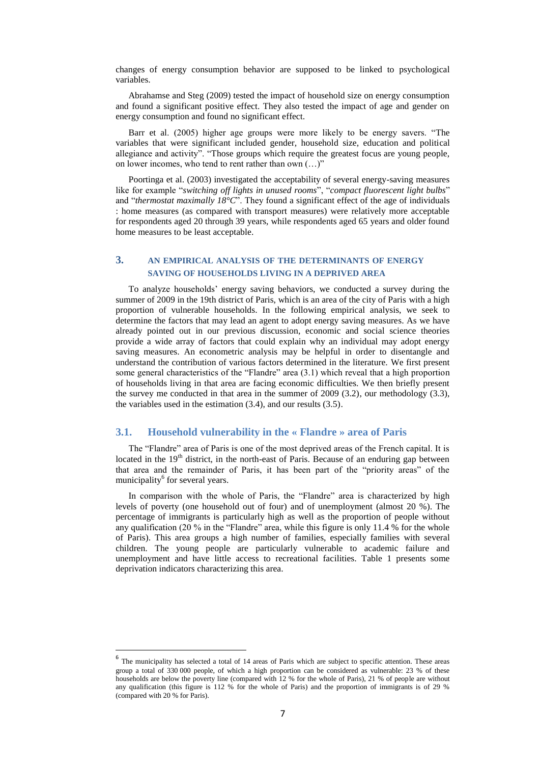changes of energy consumption behavior are supposed to be linked to psychological variables.

Abrahamse and Steg (2009) tested the impact of household size on energy consumption and found a significant positive effect. They also tested the impact of age and gender on energy consumption and found no significant effect.

Barr et al. (2005) higher age groups were more likely to be energy savers. "The variables that were significant included gender, household size, education and political allegiance and activity". "Those groups which require the greatest focus are young people, on lower incomes, who tend to rent rather than own (…)"

Poortinga et al. (2003) investigated the acceptability of several energy-saving measures like for example "*switching off lights in unused rooms*", "*compact fluorescent light bulbs*" and "*thermostat maximally 18°C*". They found a significant effect of the age of individuals : home measures (as compared with transport measures) were relatively more acceptable for respondents aged 20 through 39 years, while respondents aged 65 years and older found home measures to be least acceptable.

# **3. AN EMPIRICAL ANALYSIS OF THE DETERMINANTS OF ENERGY SAVING OF HOUSEHOLDS LIVING IN A DEPRIVED AREA**

To analyze households" energy saving behaviors, we conducted a survey during the summer of 2009 in the 19th district of Paris, which is an area of the city of Paris with a high proportion of vulnerable households. In the following empirical analysis, we seek to determine the factors that may lead an agent to adopt energy saving measures. As we have already pointed out in our previous discussion, economic and social science theories provide a wide array of factors that could explain why an individual may adopt energy saving measures. An econometric analysis may be helpful in order to disentangle and understand the contribution of various factors determined in the literature. We first present some general characteristics of the "Flandre" area (3.1) which reveal that a high proportion of households living in that area are facing economic difficulties. We then briefly present the survey me conducted in that area in the summer of 2009 (3.2), our methodology (3.3), the variables used in the estimation (3.4), and our results (3.5).

# **3.1. Household vulnerability in the « Flandre » area of Paris**

The "Flandre" area of Paris is one of the most deprived areas of the French capital. It is located in the  $19<sup>th</sup>$  district, in the north-east of Paris. Because of an enduring gap between that area and the remainder of Paris, it has been part of the "priority areas" of the municipality<sup>6</sup> for several years.

In comparison with the whole of Paris, the "Flandre" area is characterized by high levels of poverty (one household out of four) and of unemployment (almost 20 %). The percentage of immigrants is particularly high as well as the proportion of people without any qualification (20  $\%$  in the "Flandre" area, while this figure is only 11.4  $\%$  for the whole of Paris). This area groups a high number of families, especially families with several children. The young people are particularly vulnerable to academic failure and unemployment and have little access to recreational facilities. Table 1 presents some deprivation indicators characterizing this area.

**.** 

<sup>6</sup> The municipality has selected a total of 14 areas of Paris which are subject to specific attention. These areas group a total of 330 000 people, of which a high proportion can be considered as vulnerable: 23 % of these households are below the poverty line (compared with 12 % for the whole of Paris), 21 % of people are without any qualification (this figure is 112 % for the whole of Paris) and the proportion of immigrants is of 29 % (compared with 20 % for Paris).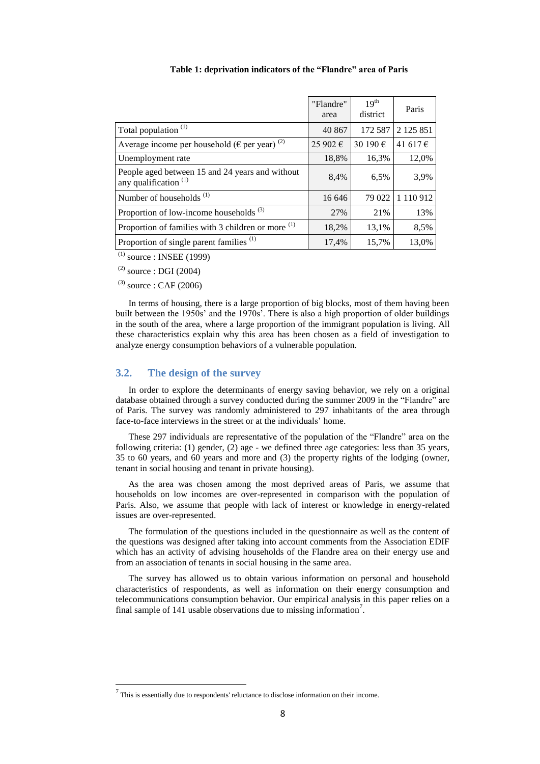|                                                                                     | "Flandre"<br>area | 19 <sup>th</sup><br>district | Paris               |
|-------------------------------------------------------------------------------------|-------------------|------------------------------|---------------------|
| Total population <sup>(1)</sup>                                                     | 40 867            | 172 587                      | 2 1 2 5 8 5 1       |
| Average income per household ( $\epsilon$ per year) <sup>(2)</sup>                  | 25 902 €          | 30 190 €                     | 41617 $\varepsilon$ |
| Unemployment rate                                                                   | 18,8%             | 16,3%                        | 12,0%               |
| People aged between 15 and 24 years and without<br>any qualification <sup>(1)</sup> | 8,4%              | 6,5%                         | 3,9%                |
| Number of households <sup>(1)</sup>                                                 | 16 646            | 79 022                       | 1 110 912           |
| Proportion of low-income households $(3)$                                           | 27%               | 21%                          | 13%                 |
| Proportion of families with 3 children or more <sup>(1)</sup>                       | 18,2%             | 13,1%                        | 8,5%                |
| Proportion of single parent families <sup>(1)</sup>                                 | 17,4%             | 15,7%                        | 13,0%               |

#### **Table 1: deprivation indicators of the "Flandre" area of Paris**

 $^{(1)}$  source : INSEE (1999)

 $^{(2)}$  source : DGI (2004)

 $^{(3)}$  source : CAF (2006)

 $\overline{a}$ 

In terms of housing, there is a large proportion of big blocks, most of them having been built between the 1950s" and the 1970s". There is also a high proportion of older buildings in the south of the area, where a large proportion of the immigrant population is living. All these characteristics explain why this area has been chosen as a field of investigation to analyze energy consumption behaviors of a vulnerable population.

# **3.2. The design of the survey**

In order to explore the determinants of energy saving behavior, we rely on a original database obtained through a survey conducted during the summer 2009 in the "Flandre" are of Paris. The survey was randomly administered to 297 inhabitants of the area through face-to-face interviews in the street or at the individuals" home.

These 297 individuals are representative of the population of the "Flandre" area on the following criteria: (1) gender, (2) age - we defined three age categories: less than 35 years, 35 to 60 years, and 60 years and more and (3) the property rights of the lodging (owner, tenant in social housing and tenant in private housing).

As the area was chosen among the most deprived areas of Paris, we assume that households on low incomes are over-represented in comparison with the population of Paris. Also, we assume that people with lack of interest or knowledge in energy-related issues are over-represented.

The formulation of the questions included in the questionnaire as well as the content of the questions was designed after taking into account comments from the Association EDIF which has an activity of advising households of the Flandre area on their energy use and from an association of tenants in social housing in the same area.

The survey has allowed us to obtain various information on personal and household characteristics of respondents, as well as information on their energy consumption and telecommunications consumption behavior. Our empirical analysis in this paper relies on a final sample of  $141$  usable observations due to missing information<sup>7</sup>.

 $<sup>7</sup>$  This is essentially due to respondents' reluctance to disclose information on their income.</sup>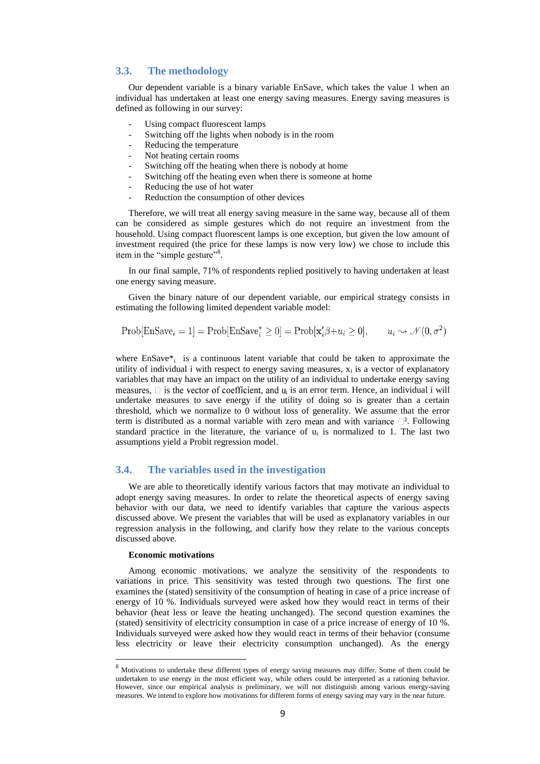## **3.3. The methodology**

Our dependent variable is a binary variable EnSave, which takes the value 1 when an individual has undertaken at least one energy saving measures. Energy saving measures is defined as following in our survey:

- Using compact fluorescent lamps
- Switching off the lights when nobody is in the room
- Reducing the temperature
- Not heating certain rooms
- Switching off the heating when there is nobody at home
- Switching off the heating even when there is someone at home
- Reducing the use of hot water
- Reduction the consumption of other devices

Therefore, we will treat all energy saving measure in the same way, because all of them can be considered as simple gestures which do not require an investment from the household. Using compact fluorescent lamps is one exception, but given the low amount of investment required (the price for these lamps is now very low) we chose to include this item in the "simple gesture"<sup>8</sup>.

In our final sample, 71% of respondents replied positively to having undertaken at least one energy saving measure.

Given the binary nature of our dependent variable, our empirical strategy consists in estimating the following limited dependent variable model:

$$
Prob[EnSave_i = 1] = Prob[EnSave_i^* \ge 0] = Prob[x'_i\beta + u_i \ge 0], \qquad u_i \rightsquigarrow \mathcal{N}(0, \sigma^2)
$$

where EnSave\*<sub>i</sub> is a continuous latent variable that could be taken to approximate the utility of individual i with respect to energy saving measures,  $x_i$  is a vector of explanatory variables that may have an impact on the utility of an individual to undertake energy saving i is an error term. Hence, an individual i will undertake measures to save energy if the utility of doing so is greater than a certain threshold, which we normalize to 0 without loss of generality. We assume that the error term is distributed as a normal variable with zero mean and with variance  $\square^2$ . Following standard practice in the literature, the variance of  $u_i$  is normalized to 1. The last two assumptions yield a Probit regression model.

#### **3.4. The variables used in the investigation**

We are able to theoretically identify various factors that may motivate an individual to adopt energy saving measures. In order to relate the theoretical aspects of energy saving behavior with our data, we need to identify variables that capture the various aspects discussed above. We present the variables that will be used as explanatory variables in our regression analysis in the following, and clarify how they relate to the various concepts discussed above.

#### **Economic motivations**

**.** 

Among economic motivations, we analyze the sensitivity of the respondents to variations in price. This sensitivity was tested through two questions. The first one examines the (stated) sensitivity of the consumption of heating in case of a price increase of energy of 10 %. Individuals surveyed were asked how they would react in terms of their behavior (heat less or leave the heating unchanged). The second question examines the (stated) sensitivity of electricity consumption in case of a price increase of energy of 10 %. Individuals surveyed were asked how they would react in terms of their behavior (consume less electricity or leave their electricity consumption unchanged). As the energy

<sup>8</sup> Motivations to undertake these different types of energy saving measures may differ. Some of them could be undertaken to use energy in the most efficient way, while others could be interpreted as a rationing behavior. However, since our empirical analysis is preliminary, we will not distinguish among various energy-saving measures. We intend to explore how motivations for different forms of energy saving may vary in the near future.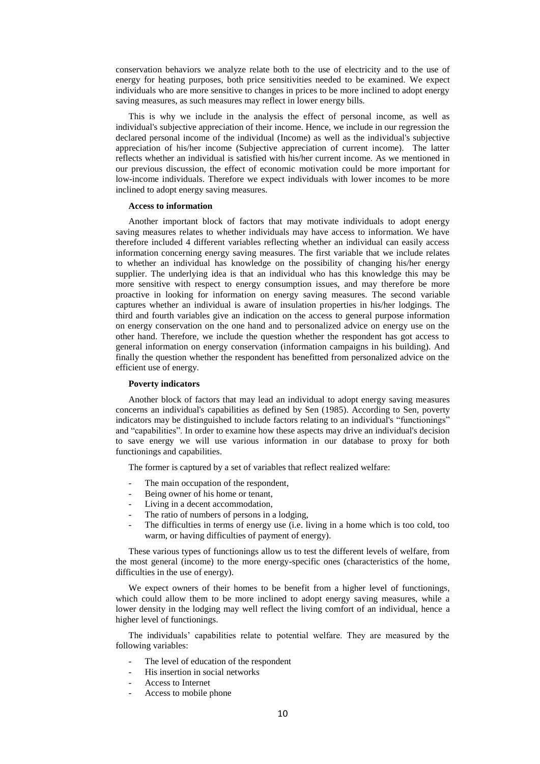conservation behaviors we analyze relate both to the use of electricity and to the use of energy for heating purposes, both price sensitivities needed to be examined. We expect individuals who are more sensitive to changes in prices to be more inclined to adopt energy saving measures, as such measures may reflect in lower energy bills.

This is why we include in the analysis the effect of personal income, as well as individual's subjective appreciation of their income. Hence, we include in our regression the declared personal income of the individual (Income) as well as the individual's subjective appreciation of his/her income (Subjective appreciation of current income). The latter reflects whether an individual is satisfied with his/her current income. As we mentioned in our previous discussion, the effect of economic motivation could be more important for low-income individuals. Therefore we expect individuals with lower incomes to be more inclined to adopt energy saving measures.

#### **Access to information**

Another important block of factors that may motivate individuals to adopt energy saving measures relates to whether individuals may have access to information. We have therefore included 4 different variables reflecting whether an individual can easily access information concerning energy saving measures. The first variable that we include relates to whether an individual has knowledge on the possibility of changing his/her energy supplier. The underlying idea is that an individual who has this knowledge this may be more sensitive with respect to energy consumption issues, and may therefore be more proactive in looking for information on energy saving measures. The second variable captures whether an individual is aware of insulation properties in his/her lodgings. The third and fourth variables give an indication on the access to general purpose information on energy conservation on the one hand and to personalized advice on energy use on the other hand. Therefore, we include the question whether the respondent has got access to general information on energy conservation (information campaigns in his building). And finally the question whether the respondent has benefitted from personalized advice on the efficient use of energy.

#### **Poverty indicators**

Another block of factors that may lead an individual to adopt energy saving measures concerns an individual's capabilities as defined by Sen (1985). According to Sen, poverty indicators may be distinguished to include factors relating to an individual's "functionings" and "capabilities". In order to examine how these aspects may drive an individual's decision to save energy we will use various information in our database to proxy for both functionings and capabilities.

The former is captured by a set of variables that reflect realized welfare:

- The main occupation of the respondent,
- Being owner of his home or tenant,
- Living in a decent accommodation,
- The ratio of numbers of persons in a lodging,
- The difficulties in terms of energy use (i.e. living in a home which is too cold, too warm, or having difficulties of payment of energy).

These various types of functionings allow us to test the different levels of welfare, from the most general (income) to the more energy-specific ones (characteristics of the home, difficulties in the use of energy).

We expect owners of their homes to be benefit from a higher level of functionings, which could allow them to be more inclined to adopt energy saving measures, while a lower density in the lodging may well reflect the living comfort of an individual, hence a higher level of functionings.

The individuals" capabilities relate to potential welfare. They are measured by the following variables:

- The level of education of the respondent
- His insertion in social networks
- Access to Internet
- Access to mobile phone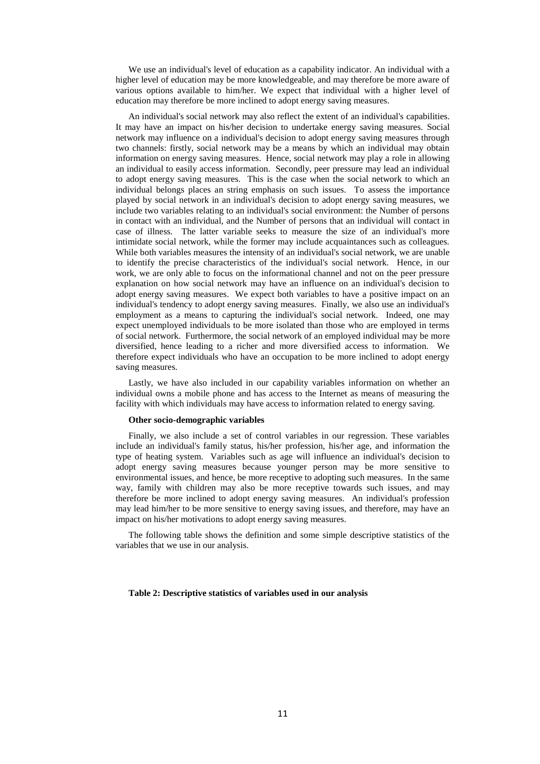We use an individual's level of education as a capability indicator. An individual with a higher level of education may be more knowledgeable, and may therefore be more aware of various options available to him/her. We expect that individual with a higher level of education may therefore be more inclined to adopt energy saving measures.

An individual's social network may also reflect the extent of an individual's capabilities. It may have an impact on his/her decision to undertake energy saving measures. Social network may influence on a individual's decision to adopt energy saving measures through two channels: firstly, social network may be a means by which an individual may obtain information on energy saving measures. Hence, social network may play a role in allowing an individual to easily access information. Secondly, peer pressure may lead an individual to adopt energy saving measures. This is the case when the social network to which an individual belongs places an string emphasis on such issues. To assess the importance played by social network in an individual's decision to adopt energy saving measures, we include two variables relating to an individual's social environment: the Number of persons in contact with an individual, and the Number of persons that an individual will contact in case of illness. The latter variable seeks to measure the size of an individual's more intimidate social network, while the former may include acquaintances such as colleagues. While both variables measures the intensity of an individual's social network, we are unable to identify the precise characteristics of the individual's social network. Hence, in our work, we are only able to focus on the informational channel and not on the peer pressure explanation on how social network may have an influence on an individual's decision to adopt energy saving measures. We expect both variables to have a positive impact on an individual's tendency to adopt energy saving measures. Finally, we also use an individual's employment as a means to capturing the individual's social network. Indeed, one may expect unemployed individuals to be more isolated than those who are employed in terms of social network. Furthermore, the social network of an employed individual may be more diversified, hence leading to a richer and more diversified access to information. We therefore expect individuals who have an occupation to be more inclined to adopt energy saving measures.

Lastly, we have also included in our capability variables information on whether an individual owns a mobile phone and has access to the Internet as means of measuring the facility with which individuals may have access to information related to energy saving.

#### **Other socio-demographic variables**

Finally, we also include a set of control variables in our regression. These variables include an individual's family status, his/her profession, his/her age, and information the type of heating system. Variables such as age will influence an individual's decision to adopt energy saving measures because younger person may be more sensitive to environmental issues, and hence, be more receptive to adopting such measures. In the same way, family with children may also be more receptive towards such issues, and may therefore be more inclined to adopt energy saving measures. An individual's profession may lead him/her to be more sensitive to energy saving issues, and therefore, may have an impact on his/her motivations to adopt energy saving measures.

The following table shows the definition and some simple descriptive statistics of the variables that we use in our analysis.

#### **Table 2: Descriptive statistics of variables used in our analysis**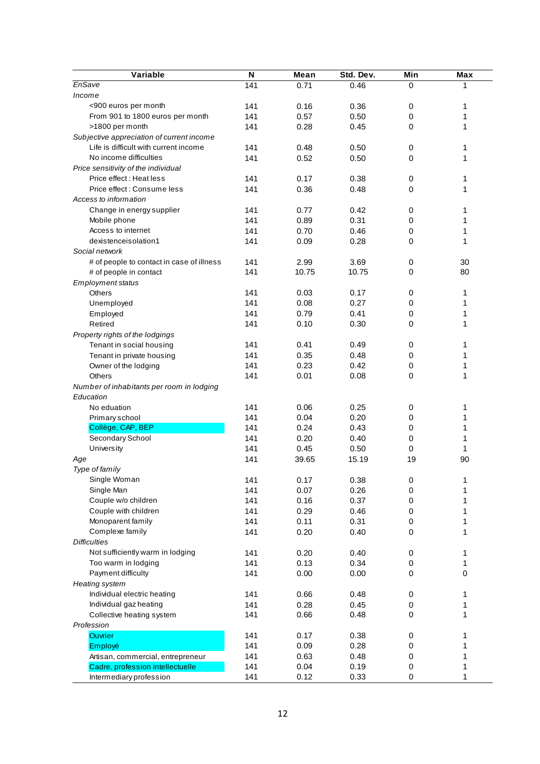| Variable<br>Std. Dev.<br>Min<br>EnSave<br>141<br>0.71<br>0.46<br>0<br>Income<br>141<br><900 euros per month<br>0.16<br>0.36<br>0<br>From 901 to 1800 euros per month<br>141<br>0.57<br>0.50<br>$\boldsymbol{0}$<br>>1800 per month<br>141<br>0.28<br>0.45<br>0<br>Subjective appreciation of current income<br>Life is difficult with current income<br>141<br>0.48<br>0.50<br>$\mathbf 0$ | Max<br>1<br>1<br>1<br>1<br>1<br>1<br>1 |
|--------------------------------------------------------------------------------------------------------------------------------------------------------------------------------------------------------------------------------------------------------------------------------------------------------------------------------------------------------------------------------------------|----------------------------------------|
|                                                                                                                                                                                                                                                                                                                                                                                            |                                        |
|                                                                                                                                                                                                                                                                                                                                                                                            |                                        |
|                                                                                                                                                                                                                                                                                                                                                                                            |                                        |
|                                                                                                                                                                                                                                                                                                                                                                                            |                                        |
|                                                                                                                                                                                                                                                                                                                                                                                            |                                        |
|                                                                                                                                                                                                                                                                                                                                                                                            |                                        |
|                                                                                                                                                                                                                                                                                                                                                                                            |                                        |
| No income difficulties<br>141<br>0.52<br>0.50<br>0                                                                                                                                                                                                                                                                                                                                         |                                        |
| Price sensitivity of the individual                                                                                                                                                                                                                                                                                                                                                        |                                        |
| Price effect: Heat less<br>141<br>0.17<br>0.38<br>0                                                                                                                                                                                                                                                                                                                                        |                                        |
| Price effect: Consume less<br>141<br>0.36<br>0.48<br>$\mathbf 0$                                                                                                                                                                                                                                                                                                                           | 1                                      |
| Access to information                                                                                                                                                                                                                                                                                                                                                                      |                                        |
| Change in energy supplier<br>141<br>0.77<br>0.42<br>$\mathbf 0$                                                                                                                                                                                                                                                                                                                            | 1                                      |
| Mobile phone<br>141<br>0.89<br>0.31<br>$\mathbf 0$                                                                                                                                                                                                                                                                                                                                         | 1                                      |
| 0.70<br>$\boldsymbol{0}$<br>Access to internet<br>141<br>0.46                                                                                                                                                                                                                                                                                                                              | 1                                      |
| dexistenceisolation1<br>141<br>0.09<br>0.28<br>0                                                                                                                                                                                                                                                                                                                                           | 1                                      |
| Social network                                                                                                                                                                                                                                                                                                                                                                             |                                        |
| # of people to contact in case of illness<br>2.99<br>3.69<br>141<br>0                                                                                                                                                                                                                                                                                                                      | 30                                     |
| 141<br>10.75<br>10.75<br>$\mathbf 0$<br># of people in contact                                                                                                                                                                                                                                                                                                                             | 80                                     |
| <b>Employment status</b>                                                                                                                                                                                                                                                                                                                                                                   |                                        |
| 141<br>0.03<br>0.17<br>$\mathbf 0$<br>Others                                                                                                                                                                                                                                                                                                                                               | 1                                      |
| 141<br>0.08<br>0.27<br>$\mathbf 0$<br>Unemployed                                                                                                                                                                                                                                                                                                                                           | 1                                      |
| 141<br>0.79<br>0.41<br>$\mathbf 0$<br>Employed                                                                                                                                                                                                                                                                                                                                             | 1                                      |
| 141<br>0.10<br>Retired<br>0.30<br>0                                                                                                                                                                                                                                                                                                                                                        | 1                                      |
| Property rights of the lodgings                                                                                                                                                                                                                                                                                                                                                            |                                        |
| 141<br>Tenant in social housing<br>0.41<br>0.49<br>$\mathbf 0$                                                                                                                                                                                                                                                                                                                             | 1                                      |
| 0.35<br>Tenant in private housing<br>141<br>0.48<br>$\mathbf 0$                                                                                                                                                                                                                                                                                                                            | 1                                      |
| 0.23<br>141<br>0.42<br>$\mathbf 0$<br>Owner of the lodging                                                                                                                                                                                                                                                                                                                                 | 1                                      |
| 141<br>0.01<br>Others<br>0.08<br>0                                                                                                                                                                                                                                                                                                                                                         | 1                                      |
| Number of inhabitants per room in lodging                                                                                                                                                                                                                                                                                                                                                  |                                        |
| Education                                                                                                                                                                                                                                                                                                                                                                                  |                                        |
| 141<br>0.06<br>0.25<br>No eduation<br>0                                                                                                                                                                                                                                                                                                                                                    | 1                                      |
| 141<br>0.04<br>0.20<br>$\mathbf 0$<br>Primary school                                                                                                                                                                                                                                                                                                                                       | 1                                      |
| Collège, CAP, BEP<br>141<br>0.24<br>0.43<br>$\mathbf 0$                                                                                                                                                                                                                                                                                                                                    | 1                                      |
| Secondary School<br>141<br>0.20<br>0.40<br>$\mathbf 0$                                                                                                                                                                                                                                                                                                                                     | 1                                      |
| University<br>141<br>0.45<br>0.50<br>$\mathbf 0$                                                                                                                                                                                                                                                                                                                                           | 1                                      |
| 141<br>39.65<br>15.19<br>19<br>Age                                                                                                                                                                                                                                                                                                                                                         | 90                                     |
| Type of family                                                                                                                                                                                                                                                                                                                                                                             |                                        |
| Single Woman<br>141<br>0.38<br>0.17<br>$\pmb{0}$                                                                                                                                                                                                                                                                                                                                           | 1                                      |
| Single Man<br>141<br>0.07<br>0.26<br>0                                                                                                                                                                                                                                                                                                                                                     | 1                                      |
| Couple w/o children<br>141<br>0.16<br>0.37<br>0                                                                                                                                                                                                                                                                                                                                            | 1                                      |
| Couple with children<br>0.29<br>141<br>0.46<br>0                                                                                                                                                                                                                                                                                                                                           | 1                                      |
| Monoparent family<br>141<br>0.11<br>0.31<br>0                                                                                                                                                                                                                                                                                                                                              | 1                                      |
| Complexe family<br>141<br>0.20<br>0.40<br>$\mathbf 0$                                                                                                                                                                                                                                                                                                                                      | 1                                      |
| <b>Difficulties</b>                                                                                                                                                                                                                                                                                                                                                                        |                                        |
| Not sufficiently warm in lodging<br>0.20<br>0.40<br>141<br>0                                                                                                                                                                                                                                                                                                                               | 1                                      |
| Too warm in lodging<br>141<br>0.13<br>0.34<br>0                                                                                                                                                                                                                                                                                                                                            | 1                                      |
| Payment difficulty<br>141<br>0.00<br>0.00<br>0                                                                                                                                                                                                                                                                                                                                             | $\pmb{0}$                              |
| <b>Heating system</b>                                                                                                                                                                                                                                                                                                                                                                      |                                        |
| Individual electric heating<br>141<br>0.66<br>0.48<br>$\pmb{0}$                                                                                                                                                                                                                                                                                                                            | 1                                      |
| Individual gaz heating<br>0.28<br>141<br>0.45<br>0                                                                                                                                                                                                                                                                                                                                         | 1                                      |
| Collective heating system<br>141<br>0.66<br>0.48<br>0                                                                                                                                                                                                                                                                                                                                      | 1                                      |
| Profession                                                                                                                                                                                                                                                                                                                                                                                 |                                        |
| 141<br>0.17<br>0.38<br>Ouvrier<br>0                                                                                                                                                                                                                                                                                                                                                        | 1                                      |
| 141<br>0.09<br>0.28<br>Employé<br>0                                                                                                                                                                                                                                                                                                                                                        | 1                                      |
| 141<br>0.63<br>Artisan, commercial, entrepreneur<br>0.48<br>0                                                                                                                                                                                                                                                                                                                              | 1                                      |
| Cadre, profession intellectuelle<br>141<br>0.04<br>0.19<br>0                                                                                                                                                                                                                                                                                                                               | 1                                      |
| Intermediary profession<br>141<br>0.12<br>0.33<br>0                                                                                                                                                                                                                                                                                                                                        | 1                                      |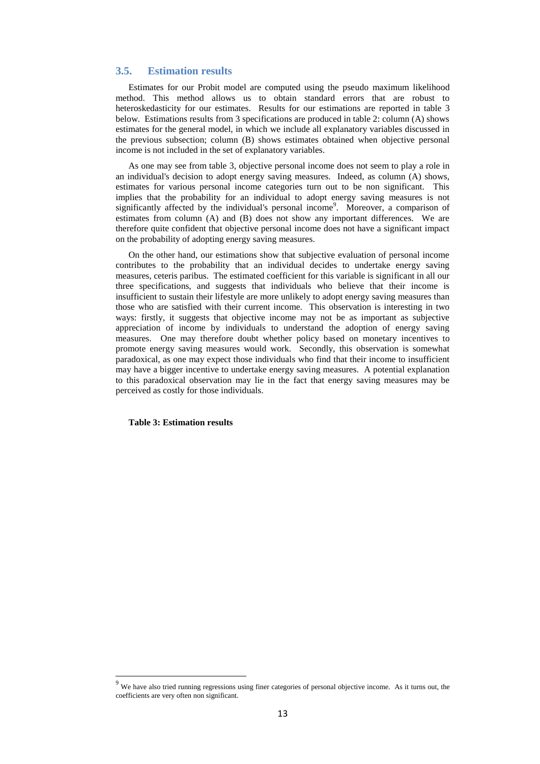# **3.5. Estimation results**

Estimates for our Probit model are computed using the pseudo maximum likelihood method. This method allows us to obtain standard errors that are robust to heteroskedasticity for our estimates. Results for our estimations are reported in table 3 below. Estimations results from 3 specifications are produced in table 2: column (A) shows estimates for the general model, in which we include all explanatory variables discussed in the previous subsection; column (B) shows estimates obtained when objective personal income is not included in the set of explanatory variables.

As one may see from table 3, objective personal income does not seem to play a role in an individual's decision to adopt energy saving measures. Indeed, as column (A) shows, estimates for various personal income categories turn out to be non significant. This implies that the probability for an individual to adopt energy saving measures is not significantly affected by the individual's personal income<sup>9</sup>. Moreover, a comparison of estimates from column (A) and (B) does not show any important differences. We are therefore quite confident that objective personal income does not have a significant impact on the probability of adopting energy saving measures.

On the other hand, our estimations show that subjective evaluation of personal income contributes to the probability that an individual decides to undertake energy saving measures, ceteris paribus. The estimated coefficient for this variable is significant in all our three specifications, and suggests that individuals who believe that their income is insufficient to sustain their lifestyle are more unlikely to adopt energy saving measures than those who are satisfied with their current income. This observation is interesting in two ways: firstly, it suggests that objective income may not be as important as subjective appreciation of income by individuals to understand the adoption of energy saving measures. One may therefore doubt whether policy based on monetary incentives to promote energy saving measures would work. Secondly, this observation is somewhat paradoxical, as one may expect those individuals who find that their income to insufficient may have a bigger incentive to undertake energy saving measures. A potential explanation to this paradoxical observation may lie in the fact that energy saving measures may be perceived as costly for those individuals.

#### **Table 3: Estimation results**

1

<sup>&</sup>lt;sup>9</sup> We have also tried running regressions using finer categories of personal objective income. As it turns out, the coefficients are very often non significant.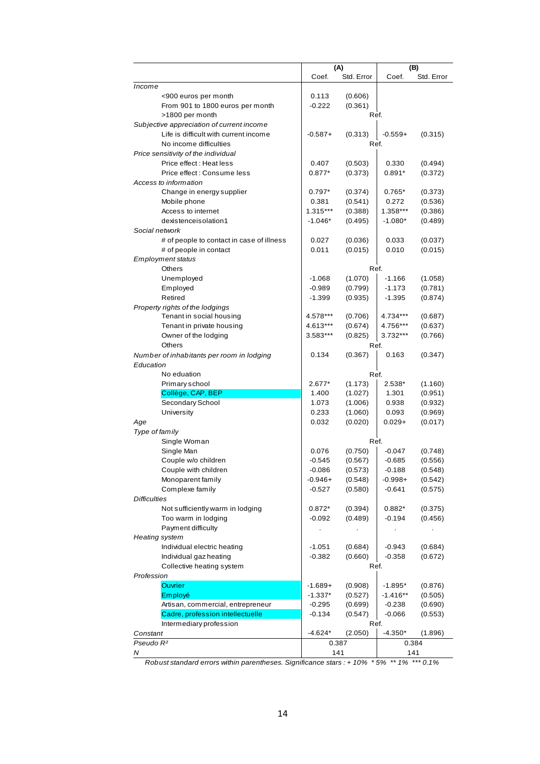|                                                                       | (A)                  |                    | (B)                   |                    |
|-----------------------------------------------------------------------|----------------------|--------------------|-----------------------|--------------------|
|                                                                       | Coef.                | Std. Error         | Coef.                 | Std. Error         |
| Income                                                                |                      |                    |                       |                    |
| <900 euros per month                                                  | 0.113                | (0.606)            |                       |                    |
| From 901 to 1800 euros per month                                      | $-0.222$             | (0.361)            |                       |                    |
| >1800 per month                                                       |                      | Ref.               |                       |                    |
| Subjective appreciation of current income                             |                      |                    |                       |                    |
| Life is difficult with current income                                 | $-0.587+$            | (0.313)            | $-0.559+$             | (0.315)            |
| No income difficulties                                                |                      | Ref.               |                       |                    |
| Price sensitivity of the individual                                   |                      |                    |                       |                    |
| Price effect: Heat less                                               | 0.407                | (0.503)            | 0.330                 | (0.494)            |
| Price effect: Consume less                                            | $0.877*$             | (0.373)            | $0.891*$              | (0.372)            |
| Access to information                                                 |                      |                    |                       |                    |
| Change in energy supplier                                             | $0.797*$             | (0.374)            | $0.765*$              | (0.373)            |
| Mobile phone                                                          | 0.381                | (0.541)            | 0.272                 | (0.536)            |
| Access to internet                                                    | 1.315***             | (0.388)            | 1.358***              | (0.386)            |
| dexistenceisolation1                                                  | $-1.046*$            | (0.495)            | $-1.080*$             | (0.489)            |
| Social network                                                        |                      |                    |                       |                    |
| # of people to contact in case of illness                             | 0.027                | (0.036)            | 0.033                 | (0.037)            |
| # of people in contact                                                | 0.011                | (0.015)            | 0.010                 | (0.015)            |
| Employment status                                                     |                      |                    |                       |                    |
| Others                                                                |                      | Ref.               |                       |                    |
| Unemployed                                                            | $-1.068$             | (1.070)            | $-1.166$              | (1.058)            |
| Employed                                                              | $-0.989$             | (0.799)            | $-1.173$              | (0.781)            |
| Retired                                                               | $-1.399$             | (0.935)            | $-1.395$              | (0.874)            |
| Property rights of the lodgings                                       |                      |                    |                       |                    |
| Tenant in social housing                                              | 4.578***             | (0.706)            | 4.734***              | (0.687)            |
| Tenant in private housing                                             | 4.613***             | (0.674)            | 4.756***              | (0.637)            |
| Owner of the lodging                                                  | 3.583***             | (0.825)            | 3.732***              | (0.766)            |
| <b>Others</b>                                                         |                      | Ref.               |                       |                    |
| Number of inhabitants per room in lodging                             | 0.134                | (0.367)            | 0.163                 | (0.347)            |
| Education                                                             |                      |                    |                       |                    |
| No eduation                                                           |                      | Ref.               |                       |                    |
| Primary school                                                        | 2.677*               | (1.173)            | 2.538*                | (1.160)            |
| Collège, CAP, BEP                                                     | 1.400                | (1.027)            | 1.301                 | (0.951)            |
| Secondary School                                                      | 1.073                | (1.006)            | 0.938                 | (0.932)            |
| University                                                            | 0.233                | (1.060)            | 0.093<br>$0.029 +$    | (0.969)<br>(0.017) |
| Age<br>Type of family                                                 | 0.032                | (0.020)            |                       |                    |
|                                                                       |                      | Ref.               |                       |                    |
| Single Woman                                                          |                      |                    |                       | (0.748)            |
| Single Man<br>Couple w/o children                                     | 0.076<br>$-0.545$    | (0.750)            | $-0.047$              |                    |
| Couple with children                                                  |                      | (0.567)            | $-0.685$              | (0.556)            |
|                                                                       | $-0.086$             | (0.573)            | $-0.188$              | (0.548)            |
| Monoparent family                                                     | $-0.946+$            | (0.548)            | $-0.998+$<br>$-0.641$ | (0.542)<br>(0.575) |
| Complexe family<br><b>Difficulties</b>                                | $-0.527$             | (0.580)            |                       |                    |
| Not sufficiently warm in lodging                                      |                      |                    |                       |                    |
| Too warm in lodging                                                   | $0.872*$<br>$-0.092$ | (0.394)<br>(0.489) | $0.882*$<br>-0.194    | (0.375)<br>(0.456) |
| Payment difficulty                                                    |                      |                    |                       |                    |
| <b>Heating system</b>                                                 |                      |                    |                       |                    |
| Individual electric heating                                           |                      |                    |                       |                    |
|                                                                       | $-1.051$             | (0.684)            | $-0.943$              | (0.684)            |
| Individual gaz heating                                                | $-0.382$             | (0.660)<br>Ref.    | $-0.358$              | (0.672)            |
| Collective heating system<br>Profession                               |                      |                    |                       |                    |
| <b>Ouvrier</b>                                                        |                      |                    |                       | (0.876)            |
|                                                                       | $-1.689+$            | (0.908)            | $-1.895*$             |                    |
| Employé                                                               | $-1.337*$            | (0.527)            | $-1.416**$            | (0.505)            |
| Artisan, commercial, entrepreneur                                     | $-0.295$             | (0.699)            | $-0.238$              | (0.690)            |
| Cadre, profession intellectuelle                                      | $-0.134$             | (0.547)            | $-0.066$              | (0.553)            |
| Intermediary profession                                               | $-4.624*$            | Ref.               |                       |                    |
| Constant<br>Pseudo R <sup>2</sup>                                     |                      | (2.050)            | $-4.350*$             | (1.896)            |
| Ν                                                                     |                      | 0.387<br>141       |                       | 0.384<br>141       |
| $Both not changed or one with in paranthogon. Similarness of (100/2)$ |                      |                    | $*$ 50/<br>$** 40/$   | $***0.10/$         |

*Robust standard errors within parentheses. Significance stars : + 10% \* 5% \*\* 1% \*\*\* 0.1%*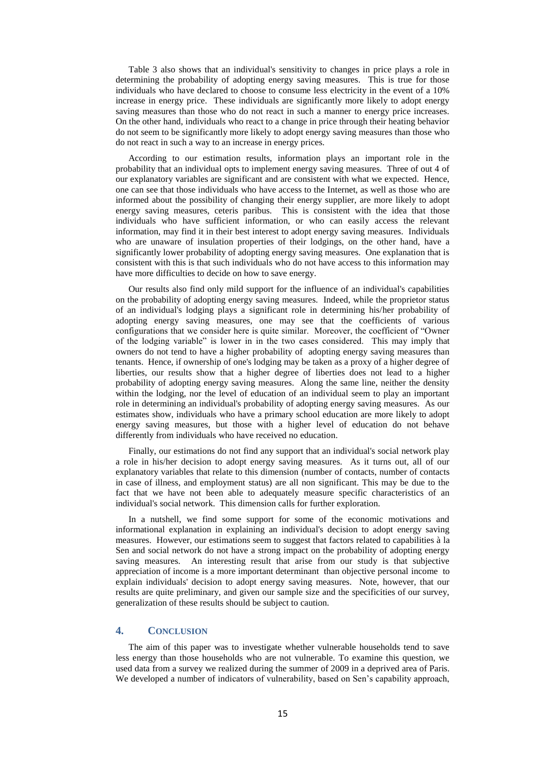Table 3 also shows that an individual's sensitivity to changes in price plays a role in determining the probability of adopting energy saving measures. This is true for those individuals who have declared to choose to consume less electricity in the event of a 10% increase in energy price. These individuals are significantly more likely to adopt energy saving measures than those who do not react in such a manner to energy price increases. On the other hand, individuals who react to a change in price through their heating behavior do not seem to be significantly more likely to adopt energy saving measures than those who do not react in such a way to an increase in energy prices.

According to our estimation results, information plays an important role in the probability that an individual opts to implement energy saving measures. Three of out 4 of our explanatory variables are significant and are consistent with what we expected. Hence, one can see that those individuals who have access to the Internet, as well as those who are informed about the possibility of changing their energy supplier, are more likely to adopt energy saving measures, ceteris paribus. This is consistent with the idea that those individuals who have sufficient information, or who can easily access the relevant information, may find it in their best interest to adopt energy saving measures. Individuals who are unaware of insulation properties of their lodgings, on the other hand, have a significantly lower probability of adopting energy saving measures. One explanation that is consistent with this is that such individuals who do not have access to this information may have more difficulties to decide on how to save energy.

Our results also find only mild support for the influence of an individual's capabilities on the probability of adopting energy saving measures. Indeed, while the proprietor status of an individual's lodging plays a significant role in determining his/her probability of adopting energy saving measures, one may see that the coefficients of various configurations that we consider here is quite similar. Moreover, the coefficient of "Owner of the lodging variable" is lower in in the two cases considered. This may imply that owners do not tend to have a higher probability of adopting energy saving measures than tenants. Hence, if ownership of one's lodging may be taken as a proxy of a higher degree of liberties, our results show that a higher degree of liberties does not lead to a higher probability of adopting energy saving measures. Along the same line, neither the density within the lodging, nor the level of education of an individual seem to play an important role in determining an individual's probability of adopting energy saving measures. As our estimates show, individuals who have a primary school education are more likely to adopt energy saving measures, but those with a higher level of education do not behave differently from individuals who have received no education.

Finally, our estimations do not find any support that an individual's social network play a role in his/her decision to adopt energy saving measures. As it turns out, all of our explanatory variables that relate to this dimension (number of contacts, number of contacts in case of illness, and employment status) are all non significant. This may be due to the fact that we have not been able to adequately measure specific characteristics of an individual's social network. This dimension calls for further exploration.

In a nutshell, we find some support for some of the economic motivations and informational explanation in explaining an individual's decision to adopt energy saving measures. However, our estimations seem to suggest that factors related to capabilities à la Sen and social network do not have a strong impact on the probability of adopting energy saving measures. An interesting result that arise from our study is that subjective appreciation of income is a more important determinant than objective personal income to explain individuals' decision to adopt energy saving measures. Note, however, that our results are quite preliminary, and given our sample size and the specificities of our survey, generalization of these results should be subject to caution.

# **4. CONCLUSION**

The aim of this paper was to investigate whether vulnerable households tend to save less energy than those households who are not vulnerable. To examine this question, we used data from a survey we realized during the summer of 2009 in a deprived area of Paris. We developed a number of indicators of vulnerability, based on Sen's capability approach,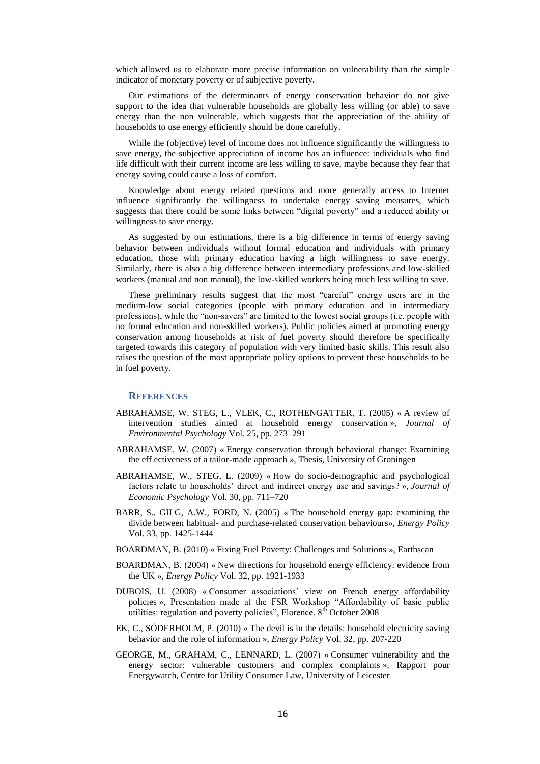which allowed us to elaborate more precise information on vulnerability than the simple indicator of monetary poverty or of subjective poverty.

Our estimations of the determinants of energy conservation behavior do not give support to the idea that vulnerable households are globally less willing (or able) to save energy than the non vulnerable, which suggests that the appreciation of the ability of households to use energy efficiently should be done carefully.

While the (objective) level of income does not influence significantly the willingness to save energy, the subjective appreciation of income has an influence: individuals who find life difficult with their current income are less willing to save, maybe because they fear that energy saving could cause a loss of comfort.

Knowledge about energy related questions and more generally access to Internet influence significantly the willingness to undertake energy saving measures, which suggests that there could be some links between "digital poverty" and a reduced ability or willingness to save energy.

As suggested by our estimations, there is a big difference in terms of energy saving behavior between individuals without formal education and individuals with primary education, those with primary education having a high willingness to save energy. Similarly, there is also a big difference between intermediary professions and low-skilled workers (manual and non manual), the low-skilled workers being much less willing to save.

These preliminary results suggest that the most "careful" energy users are in the medium-low social categories (people with primary education and in intermediary professions), while the "non-savers" are limited to the lowest social groups (i.e. people with no formal education and non-skilled workers). Public policies aimed at promoting energy conservation among households at risk of fuel poverty should therefore be specifically targeted towards this category of population with very limited basic skills. This result also raises the question of the most appropriate policy options to prevent these households to be in fuel poverty.

## **REFERENCES**

- ABRAHAMSE, W. STEG, L., VLEK, C., ROTHENGATTER, T. (2005) « A review of intervention studies aimed at household energy conservation », *Journal of Environmental Psychology* Vol. 25, pp. 273–291
- ABRAHAMSE, W. (2007) « Energy conservation through behavioral change: Examining the eff ectiveness of a tailor-made approach », Thesis, University of Groningen
- ABRAHAMSE, W., STEG, L. (2009) « How do socio-demographic and psychological factors relate to households" direct and indirect energy use and savings? », *Journal of Economic Psychology* Vol. 30, pp. 711–720
- BARR, S., GILG, A.W., FORD, N. (2005) « The household energy gap: examining the divide between habitual- and purchase-related conservation behaviours», *Energy Policy* Vol. 33, pp. 1425-1444
- BOARDMAN, B. (2010) « Fixing Fuel Poverty: Challenges and Solutions », Earthscan
- BOARDMAN, B. (2004) « New directions for household energy efficiency: evidence from the UK », *Energy Policy* Vol. 32, pp. 1921-1933
- DUBOIS, U. (2008) « Consumer associations" view on French energy affordability policies », Presentation made at the FSR Workshop "Affordability of basic public utilities: regulation and poverty policies", Florence,  $8<sup>th</sup>$  October 2008
- EK, C., SÖDERHOLM, P. (2010) « The devil is in the details: household electricity saving behavior and the role of information », *Energy Policy* Vol. 32, pp. 207-220
- GEORGE, M., GRAHAM, C., LENNARD, L. (2007) « Consumer vulnerability and the energy sector: vulnerable customers and complex complaints », Rapport pour Energywatch, Centre for Utility Consumer Law, University of Leicester